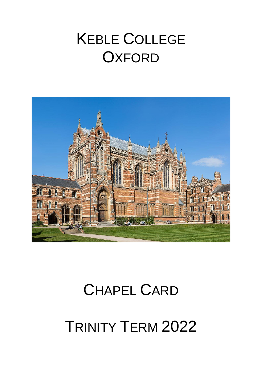# **KEBLE COLLEGE OXFORD**



# **CHAPEL CARD**

**TRINITY TERM 2022**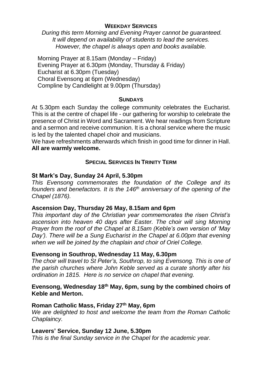## **WEEKDAY SERVICES**

*During this term Morning and Evening Prayer cannot be guaranteed. It will depend on availability of students to lead the services. However, the chapel is always open and books available.*

Morning Prayer at 8.15am (Monday – Friday) Evening Prayer at 6.30pm (Monday, Thursday & Friday) Eucharist at 6.30pm (Tuesday) Choral Evensong at 6pm (Wednesday) Compline by Candlelight at 9.00pm (Thursday)

#### **SUNDAYS**

At 5.30pm each Sunday the college community celebrates the Eucharist. This is at the centre of chapel life - our gathering for worship to celebrate the presence of Christ in Word and Sacrament. We hear readings from Scripture and a sermon and receive communion. It is a choral service where the music is led by the talented chapel choir and musicians.

We have refreshments afterwards which finish in good time for dinner in Hall. **All are warmly welcome.** 

# **SPECIAL SERVICES IN TRINITY TERM**

## **St Mark's Day, Sunday 24 April, 5.30pm**

*This Evensong commemorates the foundation of the College and its founders and benefactors. It is the 146th anniversary of the opening of the Chapel (1876).*

# **Ascension Day, Thursday 26 May, 8.15am and 6pm**

*This important day of the Christian year commemorates the risen Christ's ascension into heaven 40 days after Easter. The choir will sing Morning Prayer from the roof of the Chapel at 8.15am (Keble's own version of 'May Day'). There will be a Sung Eucharist in the Chapel at 6.00pm that evening when we will be joined by the chaplain and choir of Oriel College.*

# **Evensong in Southrop, Wednesday 11 May, 6.30pm**

*The choir will travel to St Peter's, Southrop, to sing Evensong. This is one of the parish churches where John Keble served as a curate shortly after his ordination in 1815. Here is no service on chapel that evening.*

## **Evensong, Wednesday 18th May, 6pm, sung by the combined choirs of Keble and Merton.**

### **Roman Catholic Mass, Friday 27th May, 6pm**

*We are delighted to host and welcome the team from the Roman Catholic Chaplaincy.*

### **Leavers' Service, Sunday 12 June, 5.30pm**

*This is the final Sunday service in the Chapel for the academic year.*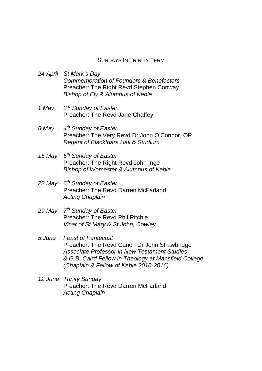#### SUNDAYS IN TRINITY TERM

*24 April St Mark's Day Commemoration of Founders & Benefactors* Preacher: The Right Revd Stephen Conway *Bishop of Ely & Alumnus of Keble*

- *1 May 3 rd Sunday of Easter* Preacher: The Revd Jane Chaffey
- *8 May 4 th Sunday of Easter* Preacher: The Very Revd Dr John O'Connor, OP *Regent of Blackfriars Hall & Studium*
- *15 May 5 th Sunday of Easter* Preacher: The Right Revd John Inge *Bishop of Worcester & Alumnus of Keble*
- *22 May 6 th Sunday of Easter* Preacher: The Revd Darren McFarland *Acting Chaplain*
- *29 May 7 th Sunday of Easter* Preacher: The Revd Phil Ritchie *Vicar of St Mary & St John, Cowley*
- *5 June Feast of Pentecost* Preacher: The Revd Canon Dr Jenn Strawbridge *Associate Professor in New Testament Studies & G.B. Caird Fellow in Theology at Mansfield College (Chaplain & Fellow of Keble 2010-2016)*
- *12 June Trinity Sunday* Preacher: The Revd Darren McFarland *Acting Chaplain*